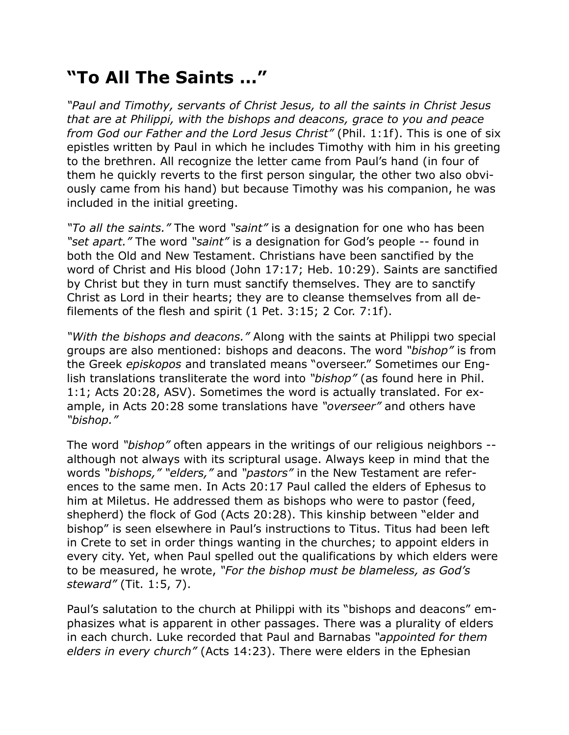## **"To All The Saints …"**

*"Paul and Timothy, servants of Christ Jesus, to all the saints in Christ Jesus that are at Philippi, with the bishops and deacons, grace to you and peace from God our Father and the Lord Jesus Christ"* (Phil. 1:1f). This is one of six epistles written by Paul in which he includes Timothy with him in his greeting to the brethren. All recognize the letter came from Paul's hand (in four of them he quickly reverts to the first person singular, the other two also obviously came from his hand) but because Timothy was his companion, he was included in the initial greeting.

*"To all the saints."* The word *"saint"* is a designation for one who has been *"set apart."* The word *"saint"* is a designation for God's people -- found in both the Old and New Testament. Christians have been sanctified by the word of Christ and His blood (John 17:17; Heb. 10:29). Saints are sanctified by Christ but they in turn must sanctify themselves. They are to sanctify Christ as Lord in their hearts; they are to cleanse themselves from all defilements of the flesh and spirit (1 Pet. 3:15; 2 Cor. 7:1f).

*"With the bishops and deacons."* Along with the saints at Philippi two special groups are also mentioned: bishops and deacons. The word *"bishop"* is from the Greek *episkopos* and translated means "overseer." Sometimes our English translations transliterate the word into *"bishop"* (as found here in Phil. 1:1; Acts 20:28, ASV). Sometimes the word is actually translated. For example, in Acts 20:28 some translations have *"overseer"* and others have *"bishop."*

The word *"bishop"* often appears in the writings of our religious neighbors - although not always with its scriptural usage. Always keep in mind that the words *"bishops," "elders,"* and *"pastors"* in the New Testament are references to the same men. In Acts 20:17 Paul called the elders of Ephesus to him at Miletus. He addressed them as bishops who were to pastor (feed, shepherd) the flock of God (Acts 20:28). This kinship between "elder and bishop" is seen elsewhere in Paul's instructions to Titus. Titus had been left in Crete to set in order things wanting in the churches; to appoint elders in every city. Yet, when Paul spelled out the qualifications by which elders were to be measured, he wrote, *"For the bishop must be blameless, as God's steward"* (Tit. 1:5, 7).

Paul's salutation to the church at Philippi with its "bishops and deacons" emphasizes what is apparent in other passages. There was a plurality of elders in each church. Luke recorded that Paul and Barnabas *"appointed for them elders in every church"* (Acts 14:23). There were elders in the Ephesian